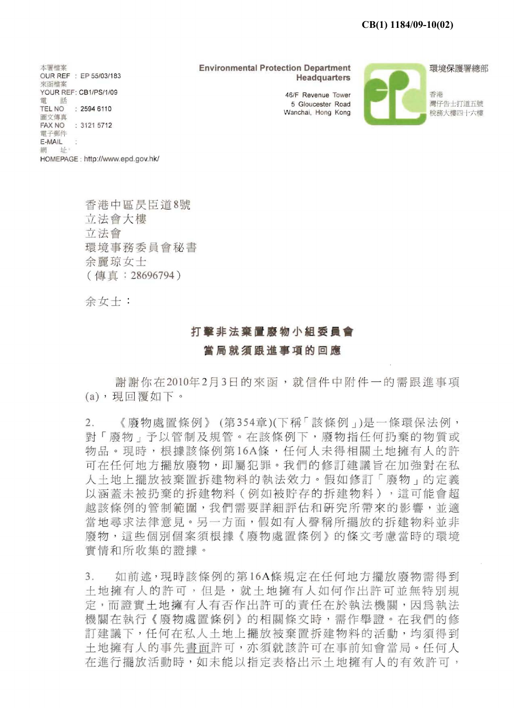## **CB(1) 1184/09-10(02)**

來函檔案<br>YOUR REF: CB1/PS/1/09 FAX NO \_ 3121 5712 ..." -f-~ (!f E-MAIL **網 址:** HOMEPAGE: http://www.epd.gov.hk/

本署檔案 **Environmental Protection Department** *Environmental Protection Department* OUR REF : EP 55/03/183 **Headquarters** 



香港中區 長臣道8號 立法會大樓 立法會 環境事務委員會秘書 余麗琼女士  $($  值直: 28696794)

 $*$  女士:

## 打擊非法棄置廢物小組委員會 當局就須跟進事項的回應

謝謝你在2010年2月3日的來函,就信件中附件一的需跟淮事項  $(a)$ , 現回覆如下。

2. 《廢物處置條例》(第354章)(下稱「該條例」)是一條環保法例, 對「廢物」予以管制及規管。在該條例下,廢物指任何扔棄的物質或<br>物品。現時,根據該條例第16A條,任何人未得相關土地擁有人的許 物品。現時,根據該條例第16A條,任何人未得相關土地擁有人的許 可在任何地方擺放廢物,即屬犯罪。我們的修訂建議旨在加強對在私 人土地上擺放被棄置拆建物料的執法效力。假如修訂「廢物」的定義 以涵蓋未被扔棄的拆建物料(例如被貯存的拆建物料),這可能會超 越該條例的管制範圍,我們需要詳細評估和研究所帶來的影響,並適 當地尋求法律意見。另一方面,假如有人聲稱所擺放的拆建物料並非 廢物,這些個別個案須根據《廢物處置條例》的條文考慮當時的環境 **實情和所收集的證據。** 

3. 如前述, 現時該條例的第16A條規定在任何地方擺放廢物需得到 十地擁有人的許可,但是,就十地擁有人如何作出許可並無特別規 定,而證實土地擁有人有否作出許可的責任在於執法機關,因為執法 機關在執行《廢物處置條例》的相關條文時,需作舉證。在我們的修 機關在執行《廢物處置條例》的相關條文時,需作舉證。在我們的修<br>訂建議下,任何在私人土地上擺放被棄置拆建物料的活動,均須得到<br>,以生力!从古先去下站了一九年赴站下一九古光仁《当日 訂建議下,任何在私人土地上擺放被棄置拆建物料的活動,均須得到<br>土地擁有人的事先<u>書面</u>許可,亦須就該許可在事前知會當局。任何人<br>在進行擺放活動時,如未能以指定表格出示土地擁有人的有效許可, 在進行擺放活動時,如未能以指定表格出示土地擁有人的有效許可,